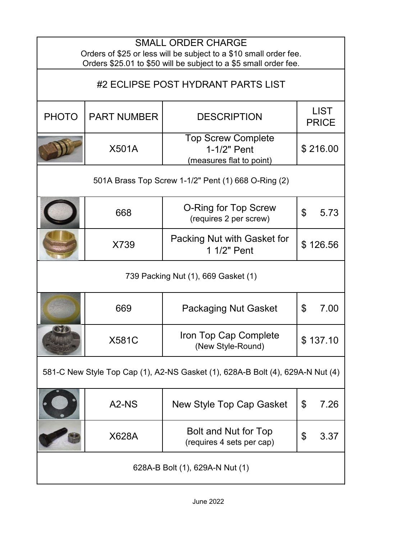| <b>SMALL ORDER CHARGE</b><br>Orders of \$25 or less will be subject to a \$10 small order fee.<br>Orders \$25.01 to \$50 will be subject to a \$5 small order fee. |                                |                                                                      |                             |  |  |
|--------------------------------------------------------------------------------------------------------------------------------------------------------------------|--------------------------------|----------------------------------------------------------------------|-----------------------------|--|--|
| #2 ECLIPSE POST HYDRANT PARTS LIST                                                                                                                                 |                                |                                                                      |                             |  |  |
| <b>PHOTO</b>                                                                                                                                                       | <b>PART NUMBER</b>             | <b>DESCRIPTION</b>                                                   | <b>LIST</b><br><b>PRICE</b> |  |  |
|                                                                                                                                                                    | <b>X501A</b>                   | <b>Top Screw Complete</b><br>1-1/2" Pent<br>(measures flat to point) | \$216.00                    |  |  |
|                                                                                                                                                                    |                                | 501A Brass Top Screw 1-1/2" Pent (1) 668 O-Ring (2)                  |                             |  |  |
|                                                                                                                                                                    | 668                            | O-Ring for Top Screw<br>(requires 2 per screw)                       | \$<br>5.73                  |  |  |
|                                                                                                                                                                    | X739                           | Packing Nut with Gasket for<br>1 1/2" Pent                           | \$126.56                    |  |  |
| 739 Packing Nut (1), 669 Gasket (1)                                                                                                                                |                                |                                                                      |                             |  |  |
|                                                                                                                                                                    | 669                            | <b>Packaging Nut Gasket</b>                                          | $\mathfrak{L}$<br>7.00      |  |  |
|                                                                                                                                                                    | <b>X581C</b>                   | Iron Top Cap Complete<br>(New Style-Round)                           | \$ 137.10                   |  |  |
| 581-C New Style Top Cap (1), A2-NS Gasket (1), 628A-B Bolt (4), 629A-N Nut (4)                                                                                     |                                |                                                                      |                             |  |  |
|                                                                                                                                                                    | A <sub>2</sub> -N <sub>S</sub> | New Style Top Cap Gasket                                             | \$<br>7.26                  |  |  |
|                                                                                                                                                                    | X628A                          | Bolt and Nut for Top<br>(requires 4 sets per cap)                    | \$<br>3.37                  |  |  |
|                                                                                                                                                                    |                                | 628A-B Bolt (1), 629A-N Nut (1)                                      |                             |  |  |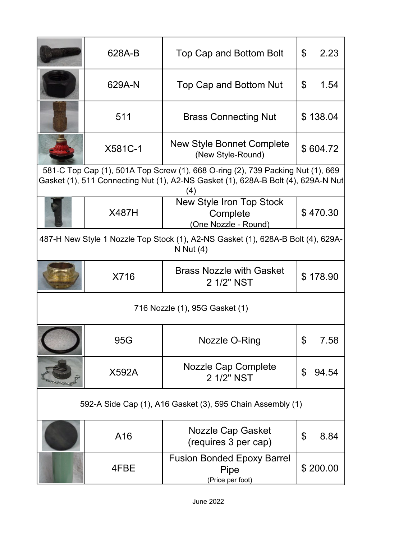| 628A-B       | Top Cap and Bottom Bolt                                                                                                                                                     | \$<br>2.23  |
|--------------|-----------------------------------------------------------------------------------------------------------------------------------------------------------------------------|-------------|
| 629A-N       | Top Cap and Bottom Nut                                                                                                                                                      | \$<br>1.54  |
| 511          | <b>Brass Connecting Nut</b>                                                                                                                                                 | \$138.04    |
| X581C-1      | <b>New Style Bonnet Complete</b><br>(New Style-Round)                                                                                                                       | \$604.72    |
|              | 581-C Top Cap (1), 501A Top Screw (1), 668 O-ring (2), 739 Packing Nut (1), 669<br>Gasket (1), 511 Connecting Nut (1), A2-NS Gasket (1), 628A-B Bolt (4), 629A-N Nut<br>(4) |             |
| <b>X487H</b> | New Style Iron Top Stock<br>Complete<br>(One Nozzle - Round)                                                                                                                | \$470.30    |
|              | 487-H New Style 1 Nozzle Top Stock (1), A2-NS Gasket (1), 628A-B Bolt (4), 629A-<br>N Nut $(4)$                                                                             |             |
| X716         | <b>Brass Nozzle with Gasket</b><br>2 1/2" NST                                                                                                                               | \$178.90    |
|              | 716 Nozzle (1), 95G Gasket (1)                                                                                                                                              |             |
| 95G          | Nozzle O-Ring                                                                                                                                                               | \$<br>7.58  |
| <b>X592A</b> | <b>Nozzle Cap Complete</b><br>2 1/2" NST                                                                                                                                    | \$<br>94.54 |
|              | 592-A Side Cap (1), A16 Gasket (3), 595 Chain Assembly (1)                                                                                                                  |             |
| A16          | Nozzle Cap Gasket<br>(requires 3 per cap)                                                                                                                                   | \$<br>8.84  |
| 4FBE         | <b>Fusion Bonded Epoxy Barrel</b><br>Pipe<br>(Price per foot)                                                                                                               | \$200.00    |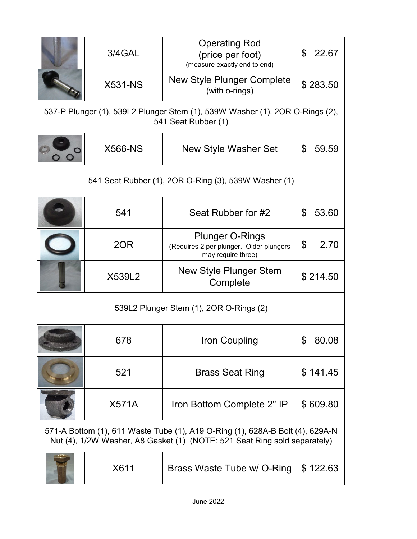| 3/4GAL         | <b>Operating Rod</b><br>(price per foot)<br>(measure exactly end to end)                                                                                   | \$<br>22.67 |
|----------------|------------------------------------------------------------------------------------------------------------------------------------------------------------|-------------|
| <b>X531-NS</b> | <b>New Style Plunger Complete</b><br>(with o-rings)                                                                                                        | \$283.50    |
|                | 537-P Plunger (1), 539L2 Plunger Stem (1), 539W Washer (1), 2OR O-Rings (2),<br>541 Seat Rubber (1)                                                        |             |
| <b>X566-NS</b> | <b>New Style Washer Set</b>                                                                                                                                | \$<br>59.59 |
|                | 541 Seat Rubber (1), 2OR O-Ring (3), 539W Washer (1)                                                                                                       |             |
| 541            | Seat Rubber for #2                                                                                                                                         | 53.60<br>\$ |
| 2OR            | <b>Plunger O-Rings</b><br>(Requires 2 per plunger. Older plungers<br>may require three)                                                                    | \$<br>2.70  |
| X539L2         | New Style Plunger Stem<br>Complete                                                                                                                         | \$214.50    |
|                | 539L2 Plunger Stem (1), 2OR O-Rings (2)                                                                                                                    |             |
| 678            | Iron Coupling                                                                                                                                              | 80.08       |
| 521            | <b>Brass Seat Ring</b>                                                                                                                                     | \$141.45    |
| <b>X571A</b>   | Iron Bottom Complete 2" IP                                                                                                                                 | \$609.80    |
|                | 571-A Bottom (1), 611 Waste Tube (1), A19 O-Ring (1), 628A-B Bolt (4), 629A-N<br>Nut (4), 1/2W Washer, A8 Gasket (1) (NOTE: 521 Seat Ring sold separately) |             |
| X611           | Brass Waste Tube w/ O-Ring                                                                                                                                 | \$122.63    |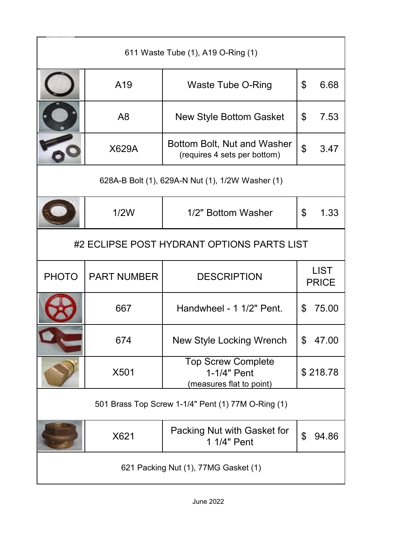| 611 Waste Tube (1), A19 O-Ring (1) |                                                  |                                                                      |                |                             |  |  |
|------------------------------------|--------------------------------------------------|----------------------------------------------------------------------|----------------|-----------------------------|--|--|
|                                    | A19                                              | <b>Waste Tube O-Ring</b>                                             | \$             | 6.68                        |  |  |
|                                    | A <sub>8</sub>                                   | <b>New Style Bottom Gasket</b>                                       | \$             | 7.53                        |  |  |
|                                    | X629A                                            | Bottom Bolt, Nut and Washer<br>(requires 4 sets per bottom)          | $\mathfrak{S}$ | 3.47                        |  |  |
|                                    | 628A-B Bolt (1), 629A-N Nut (1), 1/2W Washer (1) |                                                                      |                |                             |  |  |
|                                    | 1/2W                                             | 1/2" Bottom Washer                                                   | \$             | 1.33                        |  |  |
|                                    | #2 ECLIPSE POST HYDRANT OPTIONS PARTS LIST       |                                                                      |                |                             |  |  |
|                                    |                                                  |                                                                      |                |                             |  |  |
| <b>PHOTO</b>                       | <b>PART NUMBER</b>                               | <b>DESCRIPTION</b>                                                   |                | <b>LIST</b><br><b>PRICE</b> |  |  |
|                                    | 667                                              | Handwheel - 1 1/2" Pent.                                             | $\mathfrak{L}$ | 75.00                       |  |  |
|                                    | 674                                              | <b>New Style Locking Wrench</b>                                      | \$             | 47.00                       |  |  |
|                                    | X501                                             | <b>Top Screw Complete</b><br>1-1/4" Pent<br>(measures flat to point) |                | \$218.78                    |  |  |
|                                    |                                                  | 501 Brass Top Screw 1-1/4" Pent (1) 77M O-Ring (1)                   |                |                             |  |  |
|                                    | X621                                             | Packing Nut with Gasket for<br>1 1/4" Pent                           | \$             | 94.86                       |  |  |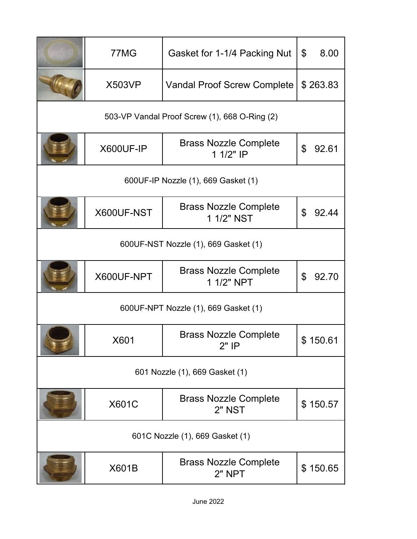|                                      | 77MG                                 | Gasket for 1-1/4 Packing Nut                  | \$<br>8.00  |  |  |
|--------------------------------------|--------------------------------------|-----------------------------------------------|-------------|--|--|
|                                      | <b>X503VP</b>                        | <b>Vandal Proof Screw Complete</b>            | \$263.83    |  |  |
|                                      |                                      | 503-VP Vandal Proof Screw (1), 668 O-Ring (2) |             |  |  |
|                                      | X600UF-IP                            | <b>Brass Nozzle Complete</b><br>1 1/2" IP     | \$<br>92.61 |  |  |
|                                      |                                      | 600UF-IP Nozzle (1), 669 Gasket (1)           |             |  |  |
|                                      | X600UF-NST                           | <b>Brass Nozzle Complete</b><br>1 1/2" NST    | \$<br>92.44 |  |  |
| 600UF-NST Nozzle (1), 669 Gasket (1) |                                      |                                               |             |  |  |
|                                      | X600UF-NPT                           | <b>Brass Nozzle Complete</b><br>1 1/2" NPT    | \$<br>92.70 |  |  |
|                                      | 600UF-NPT Nozzle (1), 669 Gasket (1) |                                               |             |  |  |
|                                      | X601                                 | <b>Brass Nozzle Complete</b><br>$2"$ IP       | \$150.61    |  |  |
| 601 Nozzle (1), 669 Gasket (1)       |                                      |                                               |             |  |  |
|                                      | <b>X601C</b>                         | <b>Brass Nozzle Complete</b><br>2" NST        | \$150.57    |  |  |
|                                      | 601C Nozzle (1), 669 Gasket (1)      |                                               |             |  |  |
|                                      | X601B                                | <b>Brass Nozzle Complete</b><br>2" NPT        | \$150.65    |  |  |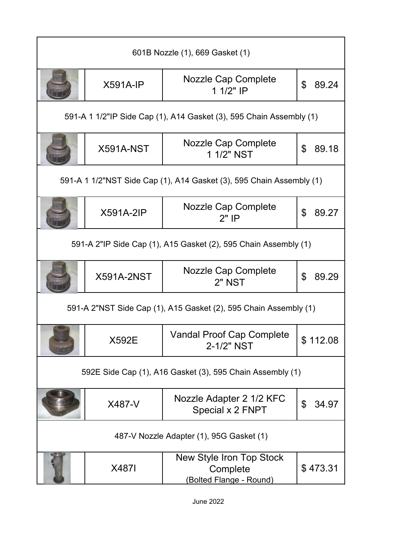| 601B Nozzle (1), 669 Gasket (1)                           |                                                                 |                                                                      |             |  |  |
|-----------------------------------------------------------|-----------------------------------------------------------------|----------------------------------------------------------------------|-------------|--|--|
|                                                           | $X591A-IP$                                                      | <b>Nozzle Cap Complete</b><br>1 1/2" IP                              | \$<br>89.24 |  |  |
|                                                           |                                                                 | 591-A 1 1/2"IP Side Cap (1), A14 Gasket (3), 595 Chain Assembly (1)  |             |  |  |
|                                                           | X591A-NST                                                       | Nozzle Cap Complete<br>1 1/2" NST                                    | \$<br>89.18 |  |  |
|                                                           |                                                                 | 591-A 1 1/2"NST Side Cap (1), A14 Gasket (3), 595 Chain Assembly (1) |             |  |  |
|                                                           | <b>X591A-2IP</b>                                                | Nozzle Cap Complete<br>$2"$ IP                                       | \$<br>89.27 |  |  |
|                                                           | 591-A 2"IP Side Cap (1), A15 Gasket (2), 595 Chain Assembly (1) |                                                                      |             |  |  |
|                                                           | <b>X591A-2NST</b>                                               | <b>Nozzle Cap Complete</b><br>2" NST                                 | \$<br>89.29 |  |  |
|                                                           |                                                                 | 591-A 2"NST Side Cap (1), A15 Gasket (2), 595 Chain Assembly (1)     |             |  |  |
|                                                           | X592E                                                           | <b>Vandal Proof Cap Complete</b><br>2-1/2" NST                       | \$112.08    |  |  |
| 592E Side Cap (1), A16 Gasket (3), 595 Chain Assembly (1) |                                                                 |                                                                      |             |  |  |
|                                                           | X487-V                                                          | Nozzle Adapter 2 1/2 KFC<br>Special x 2 FNPT                         | \$<br>34.97 |  |  |
|                                                           |                                                                 | 487-V Nozzle Adapter (1), 95G Gasket (1)                             |             |  |  |
|                                                           | <b>X4871</b>                                                    | New Style Iron Top Stock<br>Complete<br>(Bolted Flange - Round)      | \$473.31    |  |  |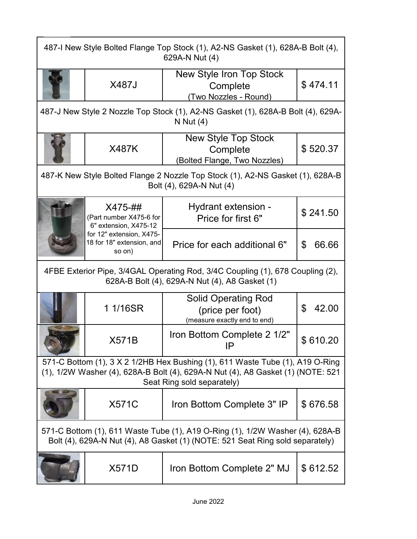| 487-I New Style Bolted Flange Top Stock (1), A2-NS Gasket (1), 628A-B Bolt (4),<br>629A-N Nut (4)                                                                                              |                                                                                                                                                                |                                                                                                            |             |  |  |
|------------------------------------------------------------------------------------------------------------------------------------------------------------------------------------------------|----------------------------------------------------------------------------------------------------------------------------------------------------------------|------------------------------------------------------------------------------------------------------------|-------------|--|--|
|                                                                                                                                                                                                | <b>X487J</b>                                                                                                                                                   | New Style Iron Top Stock<br>Complete<br>(Two Nozzles - Round)                                              | \$474.11    |  |  |
|                                                                                                                                                                                                | 487-J New Style 2 Nozzle Top Stock (1), A2-NS Gasket (1), 628A-B Bolt (4), 629A-<br>N Nut $(4)$                                                                |                                                                                                            |             |  |  |
|                                                                                                                                                                                                | <b>X487K</b>                                                                                                                                                   | <b>New Style Top Stock</b><br>Complete<br>(Bolted Flange, Two Nozzles)                                     | \$520.37    |  |  |
|                                                                                                                                                                                                |                                                                                                                                                                | 487-K New Style Bolted Flange 2 Nozzle Top Stock (1), A2-NS Gasket (1), 628A-B<br>Bolt (4), 629A-N Nut (4) |             |  |  |
|                                                                                                                                                                                                | X475-##<br>(Part number X475-6 for<br>6" extension, X475-12                                                                                                    | Hydrant extension -<br>Price for first 6"                                                                  | \$241.50    |  |  |
|                                                                                                                                                                                                | for 12" extension, X475-<br>18 for 18" extension, and<br>so on)                                                                                                | Price for each additional 6"                                                                               | \$<br>66.66 |  |  |
|                                                                                                                                                                                                | 4FBE Exterior Pipe, 3/4GAL Operating Rod, 3/4C Coupling (1), 678 Coupling (2),<br>628A-B Bolt (4), 629A-N Nut (4), A8 Gasket (1)                               |                                                                                                            |             |  |  |
|                                                                                                                                                                                                | 1 1/16SR                                                                                                                                                       | <b>Solid Operating Rod</b><br>(price per foot)<br>(measure exactly end to end)                             | 42.00<br>\$ |  |  |
|                                                                                                                                                                                                | <b>X571B</b>                                                                                                                                                   | Iron Bottom Complete 2 1/2"<br>IΡ                                                                          | \$610.20    |  |  |
| 571-C Bottom (1), 3 X 2 1/2HB Hex Bushing (1), 611 Waste Tube (1), A19 O-Ring<br>(1), 1/2W Washer (4), 628A-B Bolt (4), 629A-N Nut (4), A8 Gasket (1) (NOTE: 521<br>Seat Ring sold separately) |                                                                                                                                                                |                                                                                                            |             |  |  |
|                                                                                                                                                                                                | <b>X571C</b>                                                                                                                                                   | Iron Bottom Complete 3" IP                                                                                 | \$676.58    |  |  |
|                                                                                                                                                                                                | 571-C Bottom (1), 611 Waste Tube (1), A19 O-Ring (1), 1/2W Washer (4), 628A-B<br>Bolt (4), 629A-N Nut (4), A8 Gasket (1) (NOTE: 521 Seat Ring sold separately) |                                                                                                            |             |  |  |
|                                                                                                                                                                                                | <b>X571D</b>                                                                                                                                                   | Iron Bottom Complete 2" MJ                                                                                 | \$612.52    |  |  |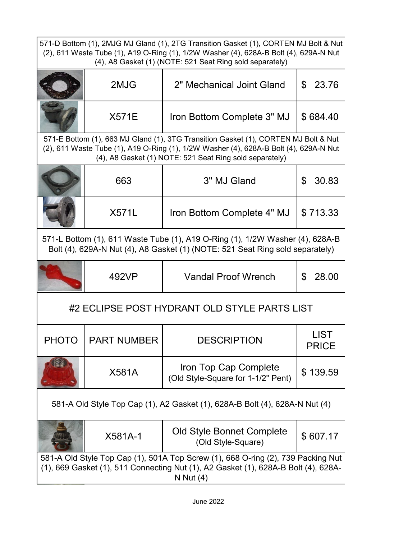| 571-D Bottom (1), 2MJG MJ Gland (1), 2TG Transition Gasket (1), CORTEN MJ Bolt & Nut<br>(2), 611 Waste Tube (1), A19 O-Ring (1), 1/2W Washer (4), 628A-B Bolt (4), 629A-N Nut<br>(4), A8 Gasket (1) (NOTE: 521 Seat Ring sold separately) |                                                                                                                                                                |                                                                                                                                                                                                                                         |                             |  |  |
|-------------------------------------------------------------------------------------------------------------------------------------------------------------------------------------------------------------------------------------------|----------------------------------------------------------------------------------------------------------------------------------------------------------------|-----------------------------------------------------------------------------------------------------------------------------------------------------------------------------------------------------------------------------------------|-----------------------------|--|--|
|                                                                                                                                                                                                                                           | 2MJG                                                                                                                                                           | 2" Mechanical Joint Gland                                                                                                                                                                                                               | \$<br>23.76                 |  |  |
|                                                                                                                                                                                                                                           | <b>X571E</b>                                                                                                                                                   | Iron Bottom Complete 3" MJ                                                                                                                                                                                                              | \$684.40                    |  |  |
|                                                                                                                                                                                                                                           |                                                                                                                                                                | 571-E Bottom (1), 663 MJ Gland (1), 3TG Transition Gasket (1), CORTEN MJ Bolt & Nut<br>(2), 611 Waste Tube (1), A19 O-Ring (1), 1/2W Washer (4), 628A-B Bolt (4), 629A-N Nut<br>(4), A8 Gasket (1) NOTE: 521 Seat Ring sold separately) |                             |  |  |
|                                                                                                                                                                                                                                           | 663                                                                                                                                                            | 3" MJ Gland                                                                                                                                                                                                                             | 30.83<br>\$                 |  |  |
|                                                                                                                                                                                                                                           | X571L                                                                                                                                                          | Iron Bottom Complete 4" MJ                                                                                                                                                                                                              | \$713.33                    |  |  |
|                                                                                                                                                                                                                                           | 571-L Bottom (1), 611 Waste Tube (1), A19 O-Ring (1), 1/2W Washer (4), 628A-B<br>Bolt (4), 629A-N Nut (4), A8 Gasket (1) (NOTE: 521 Seat Ring sold separately) |                                                                                                                                                                                                                                         |                             |  |  |
|                                                                                                                                                                                                                                           | 492VP                                                                                                                                                          | <b>Vandal Proof Wrench</b>                                                                                                                                                                                                              | \$<br>28.00                 |  |  |
|                                                                                                                                                                                                                                           |                                                                                                                                                                | #2 ECLIPSE POST HYDRANT OLD STYLE PARTS LIST                                                                                                                                                                                            |                             |  |  |
| <b>PHOTO</b>                                                                                                                                                                                                                              | <b>PART NUMBER</b>                                                                                                                                             | <b>DESCRIPTION</b>                                                                                                                                                                                                                      | <b>LIST</b><br><b>PRICE</b> |  |  |
|                                                                                                                                                                                                                                           | X581A                                                                                                                                                          | Iron Top Cap Complete<br>(Old Style-Square for 1-1/2" Pent)                                                                                                                                                                             | \$139.59                    |  |  |
| 581-A Old Style Top Cap (1), A2 Gasket (1), 628A-B Bolt (4), 628A-N Nut (4)                                                                                                                                                               |                                                                                                                                                                |                                                                                                                                                                                                                                         |                             |  |  |
|                                                                                                                                                                                                                                           | X581A-1                                                                                                                                                        | Old Style Bonnet Complete<br>(Old Style-Square)                                                                                                                                                                                         | \$607.17                    |  |  |
|                                                                                                                                                                                                                                           |                                                                                                                                                                | 581-A Old Style Top Cap (1), 501A Top Screw (1), 668 O-ring (2), 739 Packing Nut<br>(1), 669 Gasket (1), 511 Connecting Nut (1), A2 Gasket (1), 628A-B Bolt (4), 628A-<br>N Nut $(4)$                                                   |                             |  |  |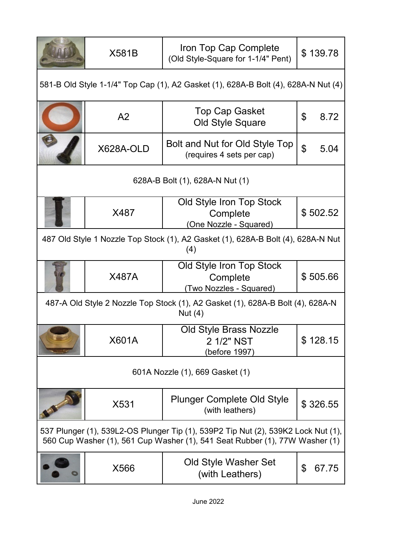|                                                                                         | <b>X581B</b>                                                                                | Iron Top Cap Complete<br>(Old Style-Square for 1-1/4" Pent)                                                                                                      | \$139.78    |  |  |  |
|-----------------------------------------------------------------------------------------|---------------------------------------------------------------------------------------------|------------------------------------------------------------------------------------------------------------------------------------------------------------------|-------------|--|--|--|
|                                                                                         | 581-B Old Style 1-1/4" Top Cap (1), A2 Gasket (1), 628A-B Bolt (4), 628A-N Nut (4)          |                                                                                                                                                                  |             |  |  |  |
|                                                                                         | A2                                                                                          | <b>Top Cap Gasket</b><br><b>Old Style Square</b>                                                                                                                 | \$<br>8.72  |  |  |  |
|                                                                                         | X628A-OLD                                                                                   | Bolt and Nut for Old Style Top<br>(requires 4 sets per cap)                                                                                                      | \$<br>5.04  |  |  |  |
|                                                                                         |                                                                                             | 628A-B Bolt (1), 628A-N Nut (1)                                                                                                                                  |             |  |  |  |
|                                                                                         | X487                                                                                        | Old Style Iron Top Stock<br>Complete<br>(One Nozzle - Squared)                                                                                                   | \$502.52    |  |  |  |
| 487 Old Style 1 Nozzle Top Stock (1), A2 Gasket (1), 628A-B Bolt (4), 628A-N Nut<br>(4) |                                                                                             |                                                                                                                                                                  |             |  |  |  |
|                                                                                         | <b>X487A</b>                                                                                | Old Style Iron Top Stock<br>Complete<br>(Two Nozzles - Squared)                                                                                                  | \$505.66    |  |  |  |
|                                                                                         | 487-A Old Style 2 Nozzle Top Stock (1), A2 Gasket (1), 628A-B Bolt (4), 628A-N<br>Nut $(4)$ |                                                                                                                                                                  |             |  |  |  |
|                                                                                         | X601A                                                                                       | <b>Old Style Brass Nozzle</b><br>2 1/2" NST<br>(before 1997)                                                                                                     | \$128.15    |  |  |  |
| 601A Nozzle (1), 669 Gasket (1)                                                         |                                                                                             |                                                                                                                                                                  |             |  |  |  |
|                                                                                         | X531                                                                                        | <b>Plunger Complete Old Style</b><br>(with leathers)                                                                                                             | \$326.55    |  |  |  |
|                                                                                         |                                                                                             | 537 Plunger (1), 539L2-OS Plunger Tip (1), 539P2 Tip Nut (2), 539K2 Lock Nut (1),<br>560 Cup Washer (1), 561 Cup Washer (1), 541 Seat Rubber (1), 77W Washer (1) |             |  |  |  |
|                                                                                         | X566                                                                                        | Old Style Washer Set<br>(with Leathers)                                                                                                                          | 67.75<br>\$ |  |  |  |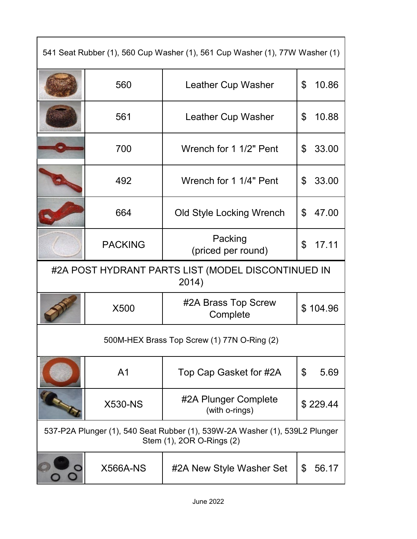| 541 Seat Rubber (1), 560 Cup Washer (1), 561 Cup Washer (1), 77W Washer (1) |                |                                                                                                          |             |  |  |
|-----------------------------------------------------------------------------|----------------|----------------------------------------------------------------------------------------------------------|-------------|--|--|
|                                                                             | 560            | <b>Leather Cup Washer</b>                                                                                | \$<br>10.86 |  |  |
|                                                                             | 561            | Leather Cup Washer                                                                                       | \$<br>10.88 |  |  |
|                                                                             | 700            | Wrench for 1 1/2" Pent                                                                                   | 33.00<br>\$ |  |  |
|                                                                             | 492            | Wrench for 1 1/4" Pent                                                                                   | 33.00<br>\$ |  |  |
|                                                                             | 664            | <b>Old Style Locking Wrench</b>                                                                          | \$<br>47.00 |  |  |
|                                                                             | <b>PACKING</b> | Packing<br>(priced per round)                                                                            | 17.11<br>\$ |  |  |
| #2A POST HYDRANT PARTS LIST (MODEL DISCONTINUED IN<br>2014)                 |                |                                                                                                          |             |  |  |
|                                                                             |                |                                                                                                          |             |  |  |
|                                                                             | X500           | #2A Brass Top Screw<br>Complete                                                                          | \$104.96    |  |  |
|                                                                             |                | 500M-HEX Brass Top Screw (1) 77N O-Ring (2)                                                              |             |  |  |
|                                                                             | A <sub>1</sub> | Top Cap Gasket for #2A                                                                                   | \$<br>5.69  |  |  |
|                                                                             | <b>X530-NS</b> | #2A Plunger Complete<br>(with o-rings)                                                                   | \$229.44    |  |  |
|                                                                             |                | 537-P2A Plunger (1), 540 Seat Rubber (1), 539W-2A Washer (1), 539L2 Plunger<br>Stem (1), 2OR O-Rings (2) |             |  |  |

٦

 $\mathsf{r}$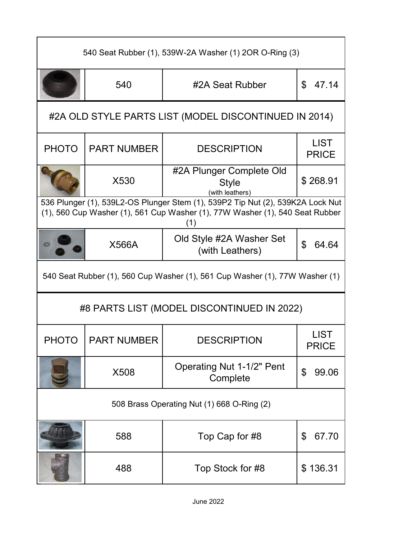| 540 Seat Rubber (1), 539W-2A Washer (1) 2OR O-Ring (3) |                                                       |                                                                                                                                                                       |                             |  |  |  |
|--------------------------------------------------------|-------------------------------------------------------|-----------------------------------------------------------------------------------------------------------------------------------------------------------------------|-----------------------------|--|--|--|
|                                                        | 540                                                   | #2A Seat Rubber                                                                                                                                                       | \$<br>47.14                 |  |  |  |
|                                                        | #2A OLD STYLE PARTS LIST (MODEL DISCONTINUED IN 2014) |                                                                                                                                                                       |                             |  |  |  |
| <b>PHOTO</b>                                           | <b>PART NUMBER</b>                                    | <b>DESCRIPTION</b>                                                                                                                                                    | <b>LIST</b><br><b>PRICE</b> |  |  |  |
|                                                        | X530                                                  | #2A Plunger Complete Old<br><b>Style</b><br>(with leathers)                                                                                                           | \$268.91                    |  |  |  |
|                                                        |                                                       | 536 Plunger (1), 539L2-OS Plunger Stem (1), 539P2 Tip Nut (2), 539K2A Lock Nut<br>(1), 560 Cup Washer (1), 561 Cup Washer (1), 77W Washer (1), 540 Seat Rubber<br>(1) |                             |  |  |  |
|                                                        | <b>X566A</b>                                          | Old Style #2A Washer Set<br>(with Leathers)                                                                                                                           | \$<br>64.64                 |  |  |  |
|                                                        |                                                       | 540 Seat Rubber (1), 560 Cup Washer (1), 561 Cup Washer (1), 77W Washer (1)                                                                                           |                             |  |  |  |
|                                                        |                                                       | #8 PARTS LIST (MODEL DISCONTINUED IN 2022)                                                                                                                            |                             |  |  |  |
| <b>PHOTO</b>                                           | <b>PART NUMBER</b>                                    | <b>DESCRIPTION</b>                                                                                                                                                    | LIST<br><b>PRICE</b>        |  |  |  |
|                                                        | X508                                                  | <b>Operating Nut 1-1/2" Pent</b><br>Complete                                                                                                                          | \$<br>99.06                 |  |  |  |
| 508 Brass Operating Nut (1) 668 O-Ring (2)             |                                                       |                                                                                                                                                                       |                             |  |  |  |
|                                                        | 588                                                   | Top Cap for #8                                                                                                                                                        | \$<br>67.70                 |  |  |  |
|                                                        | 488                                                   | Top Stock for #8                                                                                                                                                      | \$136.31                    |  |  |  |